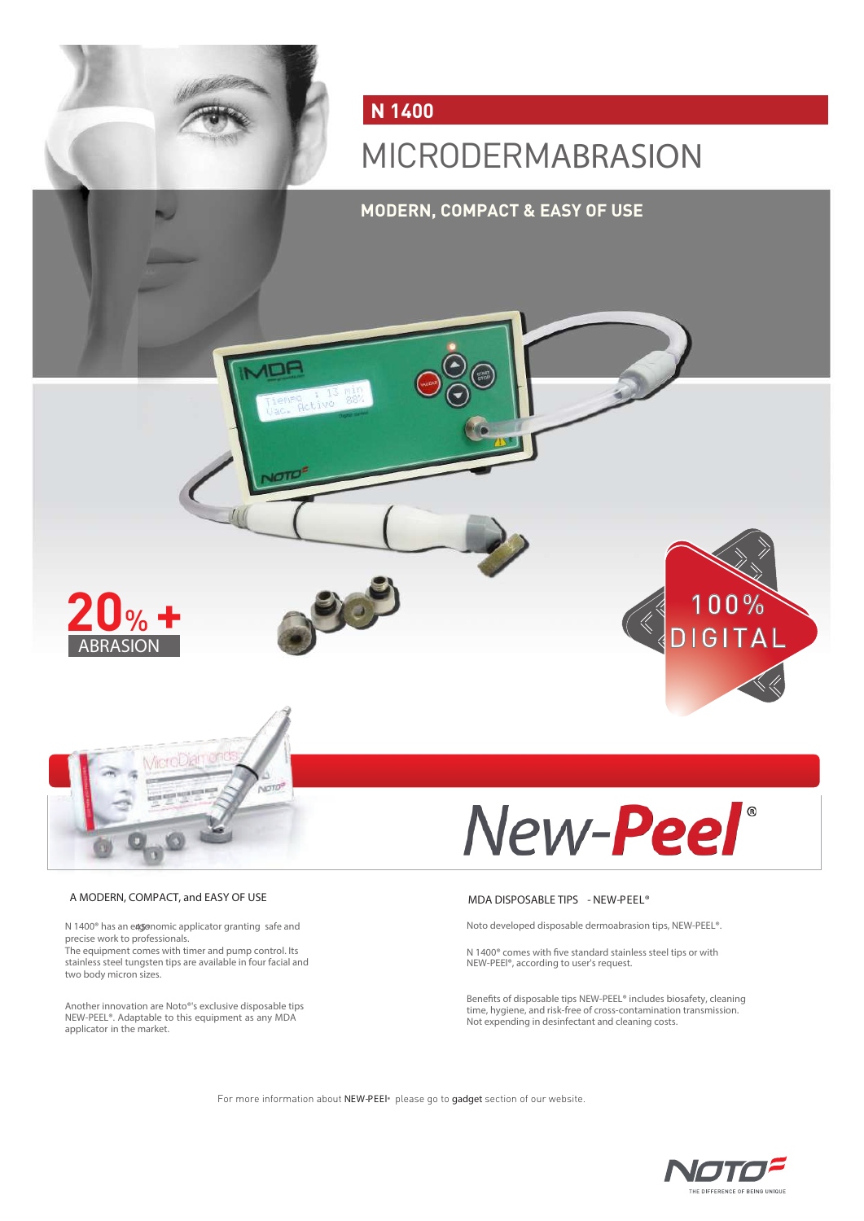

# A MODERN, COMPACT, and EASY OF USE MEASHING THE MEAN OF THE MODERN, COMPACT, and EASY OF USE

N 1400<sup>®</sup> has an eagonomic applicator granting safe and 450 and 450 Noto developed disposable dermoabrasion tips, NEW-PEEL®. precise work to professionals. The equipment comes with timer and pump control. Its stainless steel tungsten tips are available in four facial and two body micron sizes.

Another innovation are Noto®'s exclusive disposable tips NEW-PEEL®. Adaptable to this equipment as any MDA applicator in the market.

N 1400 $^{\circ}$  comes with five standard stainless steel tips or with NEW-PEEl®, according to user's request.

Benefits of disposable tips NEW-PEEL® includes biosafety, cleaning<br>time, hygiene, and risk-free of cross-contamination transmission.<br>Not expending in desinfectant and cleaning costs.

For more information about NEW-PEEI® please go to gadget section of our website.